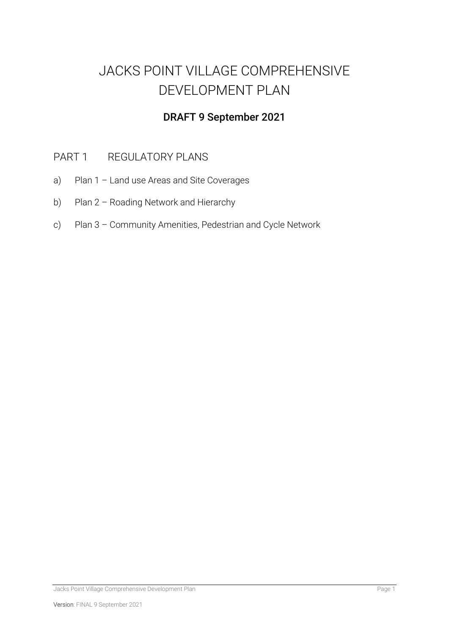# JACKS POINT VILLAGE COMPREHENSIVE DEVELOPMENT PLAN

## DRAFT 9 September 2021

## PART 1 REGULATORY PLANS

- a) Plan 1 Land use Areas and Site Coverages
- b) Plan 2 Roading Network and Hierarchy
- c) Plan 3 Community Amenities, Pedestrian and Cycle Network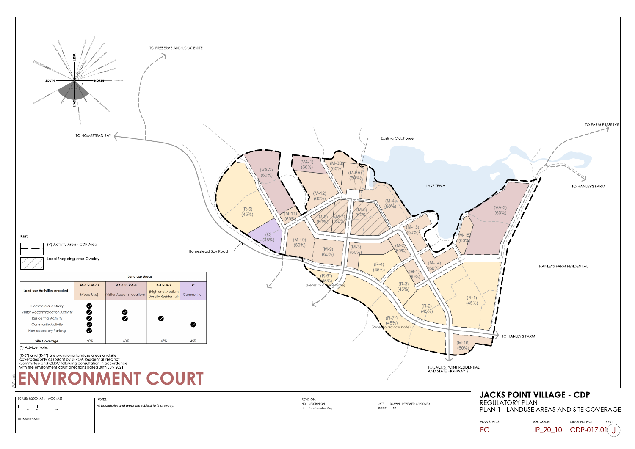PLAN STATUS:  $JOB CODE:$  DRAWING NO: JP\_20\_10 CDP-017.01



EC

CONSULTANTS:

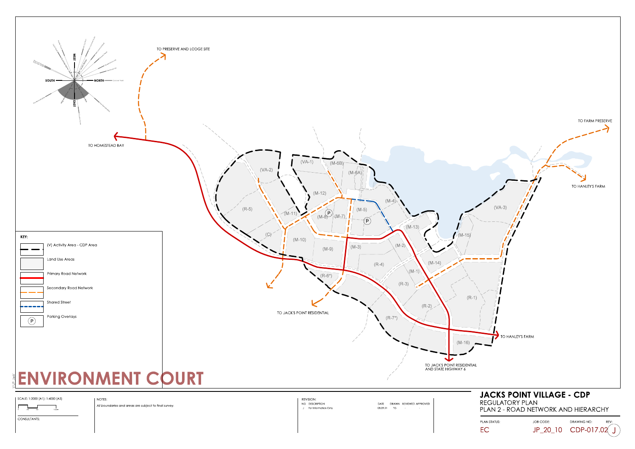EC

JP\_20\_10 CDP-017.02

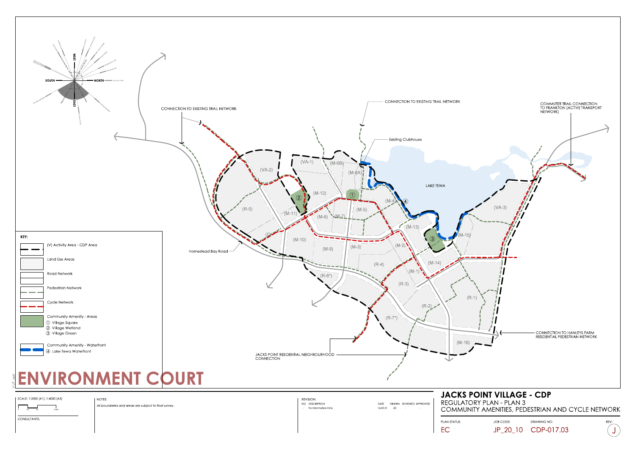ò 25 50 100m

EC

CONSULTANTS:

**For Information Only** 

 $16.02.21$  JG -

JP\_20\_10 CDP-017.03

PLAN STATUS:  $JOB CODE$ : DRAWING NO:



COMMUNITY AMENITIES, PEDESTRIAN AND CYCLE NETWORK

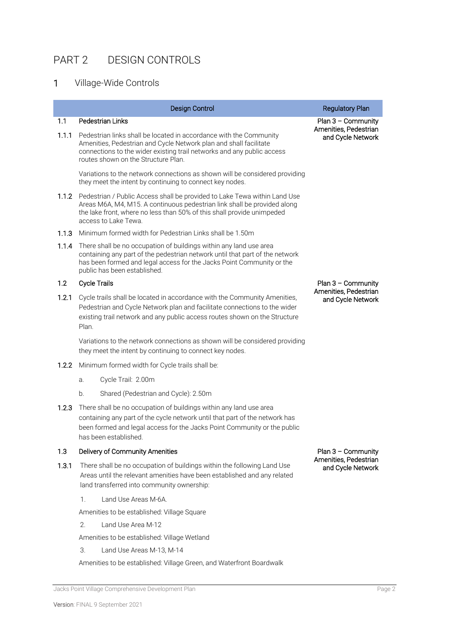## PART 2 DESIGN CONTROLS

## 1 Village-Wide Controls

|       | <b>Design Control</b>                                                                                                                                                                                                                                         | <b>Regulatory Plan</b>                                             |  |
|-------|---------------------------------------------------------------------------------------------------------------------------------------------------------------------------------------------------------------------------------------------------------------|--------------------------------------------------------------------|--|
| 1.1   | Pedestrian Links                                                                                                                                                                                                                                              | $Plan 3 - Community$                                               |  |
| 1.1.1 | Pedestrian links shall be located in accordance with the Community<br>Amenities, Pedestrian and Cycle Network plan and shall facilitate<br>connections to the wider existing trail networks and any public access<br>routes shown on the Structure Plan.      | Amenities, Pedestrian<br>and Cycle Network                         |  |
|       | Variations to the network connections as shown will be considered providing<br>they meet the intent by continuing to connect key nodes.                                                                                                                       |                                                                    |  |
|       | 1.1.2 Pedestrian / Public Access shall be provided to Lake Tewa within Land Use<br>Areas M6A, M4, M15. A continuous pedestrian link shall be provided along<br>the lake front, where no less than 50% of this shall provide unimpeded<br>access to Lake Tewa. |                                                                    |  |
| 1.1.3 | Minimum formed width for Pedestrian Links shall be 1.50m                                                                                                                                                                                                      |                                                                    |  |
| 1.1.4 | There shall be no occupation of buildings within any land use area<br>containing any part of the pedestrian network until that part of the network<br>has been formed and legal access for the Jacks Point Community or the<br>public has been established.   |                                                                    |  |
| 1.2   | <b>Cycle Trails</b>                                                                                                                                                                                                                                           | $Plan 3 - Community$                                               |  |
| 1.2.1 | Cycle trails shall be located in accordance with the Community Amenities,<br>Pedestrian and Cycle Network plan and facilitate connections to the wider<br>existing trail network and any public access routes shown on the Structure<br>Plan.                 | Amenities, Pedestrian<br>and Cycle Network                         |  |
|       | Variations to the network connections as shown will be considered providing<br>they meet the intent by continuing to connect key nodes.                                                                                                                       |                                                                    |  |
| 1.2.2 | Minimum formed width for Cycle trails shall be:                                                                                                                                                                                                               |                                                                    |  |
|       | Cycle Trail: 2.00m<br>a.                                                                                                                                                                                                                                      |                                                                    |  |
|       | Shared (Pedestrian and Cycle): 2.50m<br>b.                                                                                                                                                                                                                    |                                                                    |  |
| 1.2.3 | There shall be no occupation of buildings within any land use area<br>containing any part of the cycle network until that part of the network has<br>been formed and legal access for the Jacks Point Community or the public<br>has been established.        |                                                                    |  |
| 1.3   | Delivery of Community Amenities                                                                                                                                                                                                                               | $Plan 3 - Community$<br>Amenities, Pedestrian<br>and Cycle Network |  |
| 1.3.1 | There shall be no occupation of buildings within the following Land Use<br>Areas until the relevant amenities have been established and any related<br>land transferred into community ownership:                                                             |                                                                    |  |
|       | Land Use Areas M-6A.<br>1.                                                                                                                                                                                                                                    |                                                                    |  |
|       | Amenities to be established: Village Square                                                                                                                                                                                                                   |                                                                    |  |
|       | 2.<br>Land Use Area M-12                                                                                                                                                                                                                                      |                                                                    |  |
|       | Amenities to be established: Village Wetland                                                                                                                                                                                                                  |                                                                    |  |
|       | 3.<br>Land Use Areas M-13, M-14                                                                                                                                                                                                                               |                                                                    |  |

Amenities to be established: Village Green, and Waterfront Boardwalk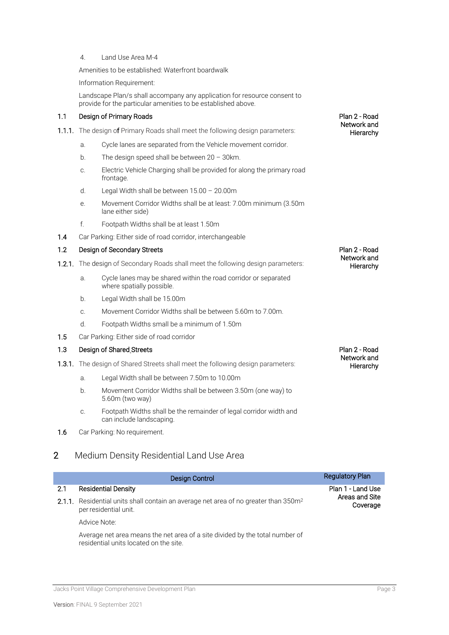4. Land Use Area M-4

Amenities to be established: Waterfront boardwalk

Information Requirement:

Landscape Plan/s shall accompany any application for resource consent to provide for the particular amenities to be established above.

#### 1.1 Design of Primary Roads

- 1.1.1. The design of Primary Roads shall meet the following design parameters:
	- a. Cycle lanes are separated from the Vehicle movement corridor.
	- b. The design speed shall be between 20 30km.
	- c. Electric Vehicle Charging shall be provided for along the primary road frontage.
	- d. Legal Width shall be between 15.00 20.00m
	- e. Movement Corridor Widths shall be at least: 7.00m minimum (3.50m lane either side)
	- f. Footpath Widths shall be at least 1.50m
- 1.4 Car Parking: Either side of road corridor, interchangeable

#### 1.2 Design of Secondary Streets

- 1.2.1. The design of Secondary Roads shall meet the following design parameters:
	- a. Cycle lanes may be shared within the road corridor or separated where spatially possible.
	- b. Legal Width shall be 15.00m
	- c. Movement Corridor Widths shall be between 5.60m to 7.00m.
	- d. Footpath Widths small be a minimum of 1.50m
- 1.5 Car Parking: Either side of road corridor

#### 1.3 Design of Shared Streets

- **1.3.1.** The design of Shared Streets shall meet the following design parameters:
	- a. Legal Width shall be between 7.50m to 10.00m
	- b. Movement Corridor Widths shall be between 3.50m (one way) to 5.60m (two way)
	- c. Footpath Widths shall be the remainder of legal corridor width and can include landscaping.
- 1.6 Car Parking: No requirement.

### 2 Medium Density Residential Land Use Area

|     | Design Control                                                                                                           | <b>Regulatory Plan</b>     |  |
|-----|--------------------------------------------------------------------------------------------------------------------------|----------------------------|--|
| 2.1 | <b>Residential Density</b>                                                                                               | Plan 1 - Land Use          |  |
|     | 2.1.1. Residential units shall contain an average net area of no greater than 350m <sup>2</sup><br>per residential unit. | Areas and Site<br>Coverage |  |
|     | Advice Note:                                                                                                             |                            |  |
|     | Average net area means the net area of a site divided by the total number of<br>residential units located on the site.   |                            |  |

Jacks Point Village Comprehensive Development Plan Page 3

Plan 2 - Road Network and **Hierarchy** 

Plan 2 - Road Network and **Hierarchy** 

Plan 2 - Road Network and **Hierarchy**